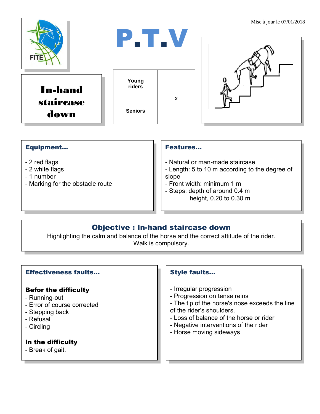

#### Equipment...

- 2 red flags
- 2 white flags
- 1 number
- Marking for the obstacle route

#### Features…

- Natural or man-made staircase
- Length: 5 to 10 m according to the degree of slope
- Front width: minimum 1 m
- Steps: depth of around 0.4 m height, 0.20 to 0.30 m

### Objective : In-hand staircase down

Highlighting the calm and balance of the horse and the correct attitude of the rider. Walk is compulsory.

#### Effectiveness faults…

#### Befor the difficulty

- Running-out
- Error of course corrected
- Stepping back
- Refusal
- Circling

#### In the difficulty

- Break of gait.

#### Style faults…

- Irregular progression
- Progression on tense reins
- The tip of the horse's nose exceeds the line
- of the rider's shoulders.
- Loss of balance of the horse or rider
- Negative interventions of the rider
- Horse moving sideways